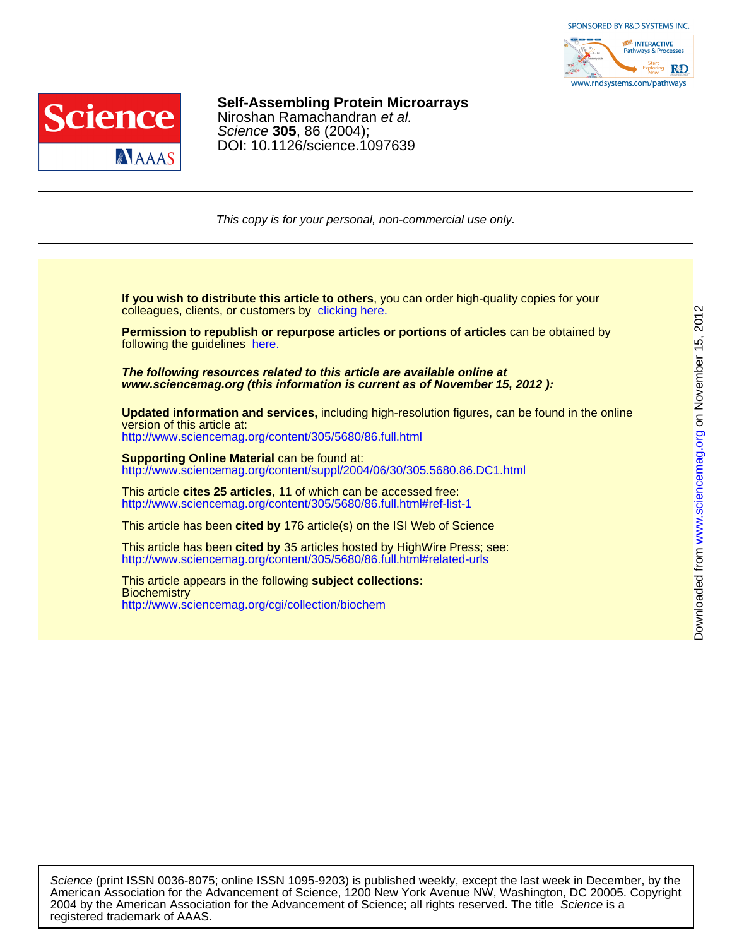



## Niroshan Ramachandran et al. **Self-Assembling Protein Microarrays**

DOI: 10.1126/science.1097639 Science **305**, 86 (2004);

This copy is for your personal, non-commercial use only.

colleagues, clients, or customers by [clicking here.](http://www.sciencemag.org/about/permissions.dtl) **If you wish to distribute this article to others**, you can order high-quality copies for your

following the guidelines [here.](http://www.sciencemag.org/about/permissions.dtl) **Permission to republish or repurpose articles or portions of articles** can be obtained by

**www.sciencemag.org (this information is current as of November 15, 2012 ): The following resources related to this article are available online at**

version of this article at: **Updated information and services,** including high-resolution figures, can be found in the online

<http://www.sciencemag.org/content/305/5680/86.full.html>

http://www.sciencemag.org/content/suppl/2004/06/30/305.5680.86.DC1.html **Supporting Online Material** can be found at:

<http://www.sciencemag.org/content/305/5680/86.full.html#ref-list-1> This article **cites 25 articles**, 11 of which can be accessed free:

This article has been **cited by** 176 article(s) on the ISI Web of Science

<http://www.sciencemag.org/content/305/5680/86.full.html#related-urls> This article has been **cited by** 35 articles hosted by HighWire Press; see:

<http://www.sciencemag.org/cgi/collection/biochem> **Biochemistry** This article appears in the following **subject collections:**

registered trademark of AAAS. 2004 by the American Association for the Advancement of Science; all rights reserved. The title Science is a American Association for the Advancement of Science, 1200 New York Avenue NW, Washington, DC 20005. Copyright Science (print ISSN 0036-8075; online ISSN 1095-9203) is published weekly, except the last week in December, by the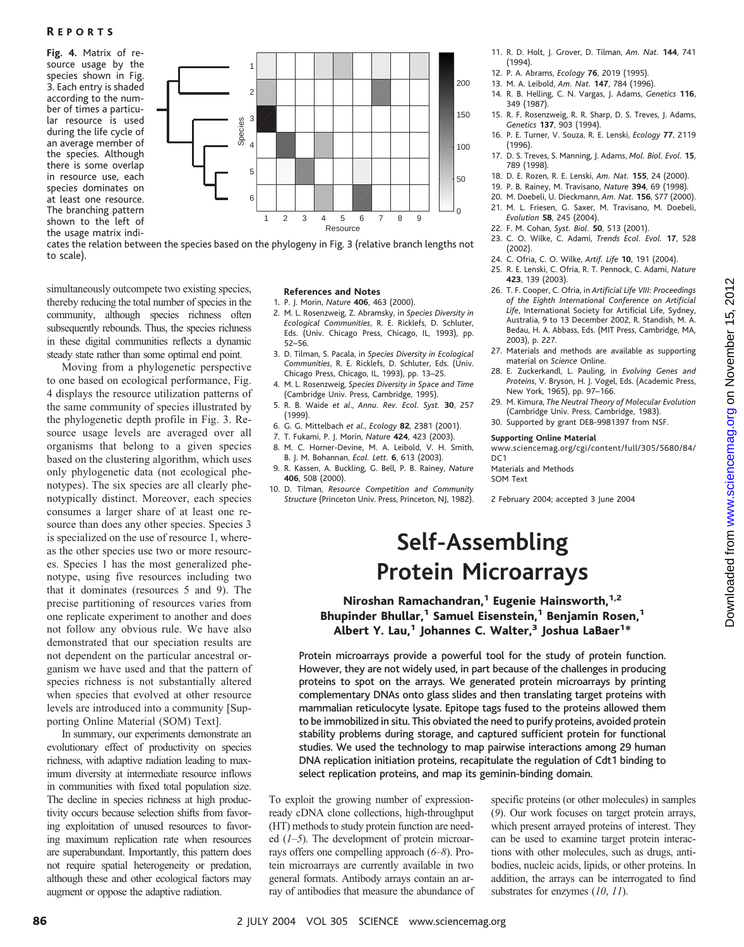**Fig.4.** Matrix of resource usage by the species shown in Fig. 3. Each entry is shaded according to the number of times a particular resource is used during the life cycle of an average member of the species. Although there is some overlap in resource use, each species dominates on at least one resource. The branching pattern shown to the left of the usage matrix indi-



cates the relation between the species based on the phylogeny in Fig. 3 (relative branch lengths not to scale).

simultaneously outcompete two existing species, thereby reducing the total number of species in the community, although species richness often subsequently rebounds. Thus, the species richness in these digital communities reflects a dynamic steady state rather than some optimal end point.

Moving from a phylogenetic perspective to one based on ecological performance, Fig. 4 displays the resource utilization patterns of the same community of species illustrated by the phylogenetic depth profile in Fig. 3. Resource usage levels are averaged over all organisms that belong to a given species based on the clustering algorithm, which uses only phylogenetic data (not ecological phenotypes). The six species are all clearly phenotypically distinct. Moreover, each species consumes a larger share of at least one resource than does any other species. Species 3 is specialized on the use of resource 1, whereas the other species use two or more resources. Species 1 has the most generalized phenotype, using five resources including two that it dominates (resources 5 and 9). The precise partitioning of resources varies from one replicate experiment to another and does not follow any obvious rule. We have also demonstrated that our speciation results are not dependent on the particular ancestral organism we have used and that the pattern of species richness is not substantially altered when species that evolved at other resource levels are introduced into a community [Supporting Online Material (SOM) Text].

In summary, our experiments demonstrate an evolutionary effect of productivity on species richness, with adaptive radiation leading to maximum diversity at intermediate resource inflows in communities with fixed total population size. The decline in species richness at high productivity occurs because selection shifts from favoring exploitation of unused resources to favoring maximum replication rate when resources are superabundant. Importantly, this pattern does not require spatial heterogeneity or predation, although these and other ecological factors may augment or oppose the adaptive radiation.

#### **References and Notes**

- 1. P. J. Morin, *Nature* **406**, 463 (2000).
- 2. M. L. Rosenzweig, Z. Abramsky, in *Species Diversity in Ecological Communities*, R. E. Ricklefs, D. Schluter, Eds. (Univ. Chicago Press, Chicago, IL, 1993), pp. 52–56.
- 3. D. Tilman, S. Pacala, in *Species Diversity in Ecological Communities*, R. E. Ricklefs, D. Schluter, Eds. (Univ. Chicago Press, Chicago, IL, 1993), pp. 13–25.
- 4. M. L. Rosenzweig, *Species Diversity in Space and Time* (Cambridge Univ. Press, Cambridge, 1995).
- 5. R. B. Waide *et al*., *Annu. Rev. Ecol. Syst.* **30**, 257 (1999).
- 6. G. G. Mittelbach *et al*., *Ecology* **82**, 2381 (2001).
- 7. T. Fukami, P. J. Morin, *Nature* **424**, 423 (2003).
- 8. M. C. Horner-Devine, M. A. Leibold, V. H. Smith, B. J. M. Bohannan, *Ecol. Lett.* **6**, 613 (2003).
- 9. R. Kassen, A. Buckling, G. Bell, P. B. Rainey, *Nature* **406**, 508 (2000).
- 10. D. Tilman, *Resource Competition and Community Structure* (Princeton Univ. Press, Princeton, NJ, 1982).
- 11. R. D. Holt, J. Grover, D. Tilman, *Am. Nat.* **144**, 741 (1994).
- 12. P. A. Abrams, *Ecology* **76**, 2019 (1995).
- 13. M. A. Leibold, *Am. Nat.* **147**, 784 (1996).
- 14. R. B. Helling, C. N. Vargas, J. Adams, *Genetics* **116**, 349 (1987).
- 15. R. F. Rosenzweig, R. R. Sharp, D. S. Treves, J. Adams, *Genetics* **137**, 903 (1994).
- 16. P. E. Turner, V. Souza, R. E. Lenski, *Ecology* **77**, 2119 (1996).
- 17. D. S. Treves, S. Manning, J. Adams, *Mol. Biol. Evol.* **15**, 789 (1998).
- 18. D. E. Rozen, R. E. Lenski, *Am. Nat.* **155**, 24 (2000).
- 19. P. B. Rainey, M. Travisano, *Nature* **394**, 69 (1998).
- 20. M. Doebeli, U. Dieckmann, *Am. Nat.* **156**, S77 (2000). 21. M. L. Friesen, G. Saxer, M. Travisano, M. Doebeli,
- *Evolution* **58**, 245 (2004).
- 22. F. M. Cohan, *Syst. Biol.* **50**, 513 (2001).
- 23. C. O. Wilke, C. Adami, *Trends Ecol. Evol.* **17**, 528 (2002).
- 24. C. Ofria, C. O. Wilke, *Artif. Life* **10**, 191 (2004).
- 25. R. E. Lenski, C. Ofria, R. T. Pennock, C. Adami, *Nature* **423**, 139 (2003).
- 26. T. F. Cooper, C. Ofria, in *Artificial Life VIII: Proceedings of the Eighth International Conference on Artificial Life*, International Society for Artificial Life, Sydney, Australia, 9 to 13 December 2002, R. Standish, M. A. Bedau, H. A. Abbass, Eds. (MIT Press, Cambridge, MA, 2003), p. 227.
- 27. Materials and methods are available as supporting material on *Science* Online.
- 28. E. Zuckerkandl, L. Pauling, in *Evolving Genes and Proteins*, V. Bryson, H. J. Vogel, Eds. (Academic Press, New York, 1965), pp. 97–166.
- 29. M. Kimura, *The Neutral Theory of Molecular Evolution* (Cambridge Univ. Press, Cambridge, 1983).
- 30. Supported by grant DEB-9981397 from NSF.

#### **Supporting Online Material**

www.sciencemag.org/cgi/content/full/305/5680/84/  $DC1$ 

Materials and Methods SOM Text

2 February 2004; accepted 3 June 2004

## **Self-Assembling Protein Microarrays**

Niroshan Ramachandran,<sup>1</sup> Eugenie Hainsworth,<sup>1,2</sup> Bhupinder Bhullar,<sup>1</sup> Samuel Eisenstein,<sup>1</sup> Benjamin Rosen,<sup>1</sup> Albert Y. Lau, $^1$  Johannes C. Walter, $^3$  Joshua LaBaer $^{1\ast}$ 

Protein microarrays provide a powerful tool for the study of protein function. However, they are not widely used, in part because of the challenges in producing proteins to spot on the arrays. We generated protein microarrays by printing complementary DNAs onto glass slides and then translating target proteins with mammalian reticulocyte lysate. Epitope tags fused to the proteins allowed them to be immobilized in situ. This obviated the need to purify proteins, avoided protein stability problems during storage, and captured sufficient protein for functional studies. We used the technology to map pairwise interactions among 29 human DNA replication initiation proteins, recapitulate the regulation of Cdt1 binding to select replication proteins, and map its geminin-binding domain.

To exploit the growing number of expressionready cDNA clone collections, high-throughput (HT) methods to study protein function are needed (*1*–*5*). The development of protein microarrays offers one compelling approach (*6*–*8*). Protein microarrays are currently available in two general formats. Antibody arrays contain an array of antibodies that measure the abundance of specific proteins (or other molecules) in samples (*9*). Our work focuses on target protein arrays, which present arrayed proteins of interest. They can be used to examine target protein interactions with other molecules, such as drugs, antibodies, nucleic acids, lipids, or other proteins. In addition, the arrays can be interrogated to find substrates for enzymes (*10*, *11*).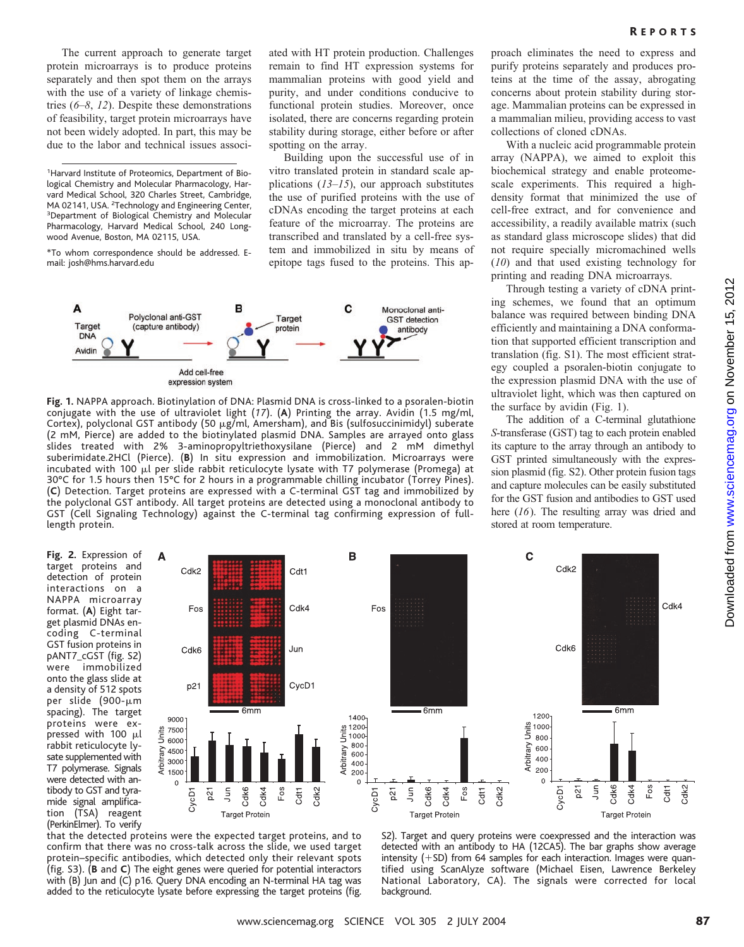The current approach to generate target protein microarrays is to produce proteins separately and then spot them on the arrays with the use of a variety of linkage chemistries (*6*–*8*, *12*). Despite these demonstrations of feasibility, target protein microarrays have not been widely adopted. In part, this may be due to the labor and technical issues associ-

<sup>1</sup>Harvard Institute of Proteomics, Department of Biological Chemistry and Molecular Pharmacology, Harvard Medical School, 320 Charles Street, Cambridge, MA 02141, USA. <sup>2</sup>Technology and Engineering Center,<br><sup>3</sup>Department of Biological Chemistry and Molecular <sup>3</sup>Department of Biological Chemistry and Molecular Pharmacology, Harvard Medical School, 240 Longwood Avenue, Boston, MA 02115, USA.

\*To whom correspondence should be addressed. Email: josh@hms.harvard.edu

Δ

Units

Arbitrary

ated with HT protein production. Challenges remain to find HT expression systems for mammalian proteins with good yield and purity, and under conditions conducive to functional protein studies. Moreover, once isolated, there are concerns regarding protein stability during storage, either before or after spotting on the array.

Building upon the successful use of in vitro translated protein in standard scale applications (*13*–*15*), our approach substitutes the use of purified proteins with the use of cDNAs encoding the target proteins at each feature of the microarray. The proteins are transcribed and translated by a cell-free system and immobilized in situ by means of epitope tags fused to the proteins. This ap-

B



**Fig.1.** NAPPA approach. Biotinylation of DNA: Plasmid DNA is cross-linked to a psoralen-biotin conjugate with the use of ultraviolet light (*17*). (**A**) Printing the array. Avidin (1.5 mg/ml, Cortex), polyclonal GST antibody (50  $\mu$ g/ml, Amersham), and Bis (sulfosuccinimidyl) suberate (2 mM, Pierce) are added to the biotinylated plasmid DNA. Samples are arrayed onto glass slides treated with 2% 3-aminopropyltriethoxysilane (Pierce) and 2 mM dimethyl suberimidate.2HCl (Pierce). (**B**) In situ expression and immobilization. Microarrays were incubated with 100  $\mu$ l per slide rabbit reticulocyte lysate with T7 polymerase (Promega) at 30°C for 1.5 hours then 15°C for 2 hours in a programmable chilling incubator (Torrey Pines). (**C**) Detection. Target proteins are expressed with a C-terminal GST tag and immobilized by the polyclonal GST antibody. All target proteins are detected using a monoclonal antibody to GST (Cell Signaling Technology) against the C-terminal tag confirming expression of fulllength protein.

proach eliminates the need to express and purify proteins separately and produces proteins at the time of the assay, abrogating concerns about protein stability during storage. Mammalian proteins can be expressed in a mammalian milieu, providing access to vast collections of cloned cDNAs.

With a nucleic acid programmable protein array (NAPPA), we aimed to exploit this biochemical strategy and enable proteomescale experiments. This required a highdensity format that minimized the use of cell-free extract, and for convenience and accessibility, a readily available matrix (such as standard glass microscope slides) that did not require specially micromachined wells (*10*) and that used existing technology for printing and reading DNA microarrays.

Through testing a variety of cDNA printing schemes, we found that an optimum balance was required between binding DNA efficiently and maintaining a DNA conformation that supported efficient transcription and translation (fig. S1). The most efficient strategy coupled a psoralen-biotin conjugate to the expression plasmid DNA with the use of ultraviolet light, which was then captured on the surface by avidin (Fig. 1).

The addition of a C-terminal glutathione *S*-transferase (GST) tag to each protein enabled its capture to the array through an antibody to GST printed simultaneously with the expression plasmid (fig. S2). Other protein fusion tags and capture molecules can be easily substituted for the GST fusion and antibodies to GST used here (*16*). The resulting array was dried and stored at room temperature.

**Fig.2.** Expression of target proteins and detection of protein interactions on a NAPPA microarray format. (**A**) Eight target plasmid DNAs encoding C-terminal GST fusion proteins in pANT7\_cGST (fig. S2) were immobilized onto the glass slide at a density of 512 spots per slide (900-µm spacing). The target proteins were expressed with  $100 \mu l$ rabbit reticulocyte lysate supplemented with T7 polymerase. Signals were detected with antibody to GST and tyramide signal amplification (TSA) reagent (PerkinElmer). To verify



that the detected proteins were the expected target proteins, and to confirm that there was no cross-talk across the slide, we used target protein–specific antibodies, which detected only their relevant spots (fig. S3). (**B** and **C**) The eight genes were queried for potential interactors with (B) Jun and (C) p16. Query DNA encoding an N-terminal HA tag was added to the reticulocyte lysate before expressing the target proteins (fig.

S2). Target and query proteins were coexpressed and the interaction was detected with an antibody to HA (12CA5). The bar graphs show average intensity  $(+)$  SD) from 64 samples for each interaction. Images were quantified using ScanAlyze software (Michael Eisen, Lawrence Berkeley National Laboratory, CA). The signals were corrected for local background.

 $\mathbf c$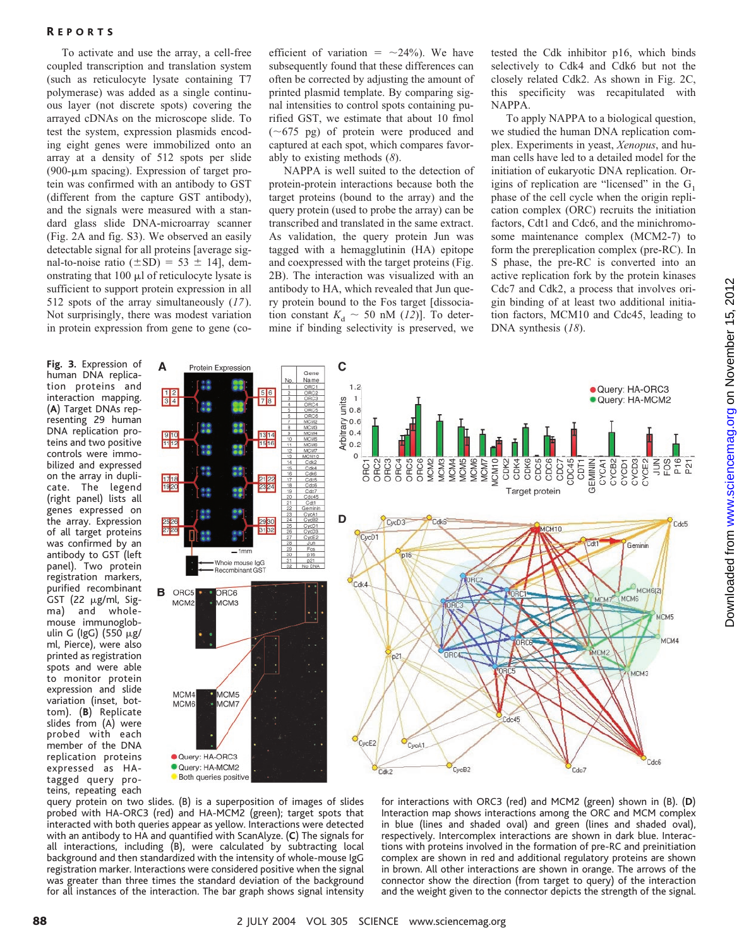## R EPORTS

To activate and use the array, a cell-free coupled transcription and translation system (such as reticulocyte lysate containing T7 polymerase) was added as a single continuous layer (not discrete spots) covering the arrayed cDNAs on the microscope slide. To test the system, expression plasmids encoding eight genes were immobilized onto an array at a density of 512 spots per slide (900- $\mu$ m spacing). Expression of target protein was confirmed with an antibody to GST (different from the capture GST antibody), and the signals were measured with a standard glass slide DNA-microarray scanner (Fig. 2A and fig. S3). We observed an easily detectable signal for all proteins [average signal-to-noise ratio  $(\pm SD) = 53 \pm 14$ ], demonstrating that  $100 \mu l$  of reticulocyte lysate is sufficient to support protein expression in all 512 spots of the array simultaneously (*17*). Not surprisingly, there was modest variation in protein expression from gene to gene (co-

**Fig.3.** Expression of human DNA replication proteins and interaction mapping. (**A**) Target DNAs representing 29 human DNA replication proteins and two positive controls were immobilized and expressed on the array in duplicate. The legend (right panel) lists all genes expressed on the array. Expression of all target proteins was confirmed by an antibody to GST (left panel). Two protein registration markers, purified recombinant GST  $(22 \mu g/ml, Sig$ ma) and wholemouse immunoglobulin G (IgG)  $(550 \mu g)$ ml, Pierce), were also printed as registration spots and were able to monitor protein expression and slide variation (inset, bottom). (**B**) Replicate slides from (A) were probed with each member of the DNA replication proteins expressed as HAtagged query proteins, repeating each

efficient of variation  $=$   $\sim$ 24%). We have subsequently found that these differences can often be corrected by adjusting the amount of printed plasmid template. By comparing signal intensities to control spots containing purified GST, we estimate that about 10 fmol  $(\sim 675 \text{ pg})$  of protein were produced and captured at each spot, which compares favorably to existing methods (*8*).

NAPPA is well suited to the detection of protein-protein interactions because both the target proteins (bound to the array) and the query protein (used to probe the array) can be transcribed and translated in the same extract. As validation, the query protein Jun was tagged with a hemagglutinin (HA) epitope and coexpressed with the target proteins (Fig. 2B). The interaction was visualized with an antibody to HA, which revealed that Jun query protein bound to the Fos target [dissociation constant  $K_d \sim 50$  nM (12)]. To determine if binding selectivity is preserved, we

tested the Cdk inhibitor p16, which binds selectively to Cdk4 and Cdk6 but not the closely related Cdk2. As shown in Fig. 2C, this specificity was recapitulated with NAPPA.

To apply NAPPA to a biological question, we studied the human DNA replication complex. Experiments in yeast, *Xenopus*, and human cells have led to a detailed model for the initiation of eukaryotic DNA replication. Origins of replication are "licensed" in the  $G_1$ phase of the cell cycle when the origin replication complex (ORC) recruits the initiation factors, Cdt1 and Cdc6, and the minichromosome maintenance complex (MCM2-7) to form the prereplication complex (pre-RC). In S phase, the pre-RC is converted into an active replication fork by the protein kinases Cdc7 and Cdk2, a process that involves origin binding of at least two additional initiation factors, MCM10 and Cdc45, leading to DNA synthesis (*18*).



query protein on two slides. (B) is a superposition of images of slides probed with HA-ORC3 (red) and HA-MCM2 (green); target spots that interacted with both queries appear as yellow. Interactions were detected with an antibody to HA and quantified with ScanAlyze. (**C**) The signals for all interactions, including (B), were calculated by subtracting local background and then standardized with the intensity of whole-mouse IgG registration marker. Interactions were considered positive when the signal was greater than three times the standard deviation of the background for all instances of the interaction. The bar graph shows signal intensity

for interactions with ORC3 (red) and MCM2 (green) shown in (B). (**D**) Interaction map shows interactions among the ORC and MCM complex in blue (lines and shaded oval) and green (lines and shaded oval), respectively. Intercomplex interactions are shown in dark blue. Interactions with proteins involved in the formation of pre-RC and preinitiation complex are shown in red and additional regulatory proteins are shown in brown. All other interactions are shown in orange. The arrows of the connector show the direction (from target to query) of the interaction and the weight given to the connector depicts the strength of the signal.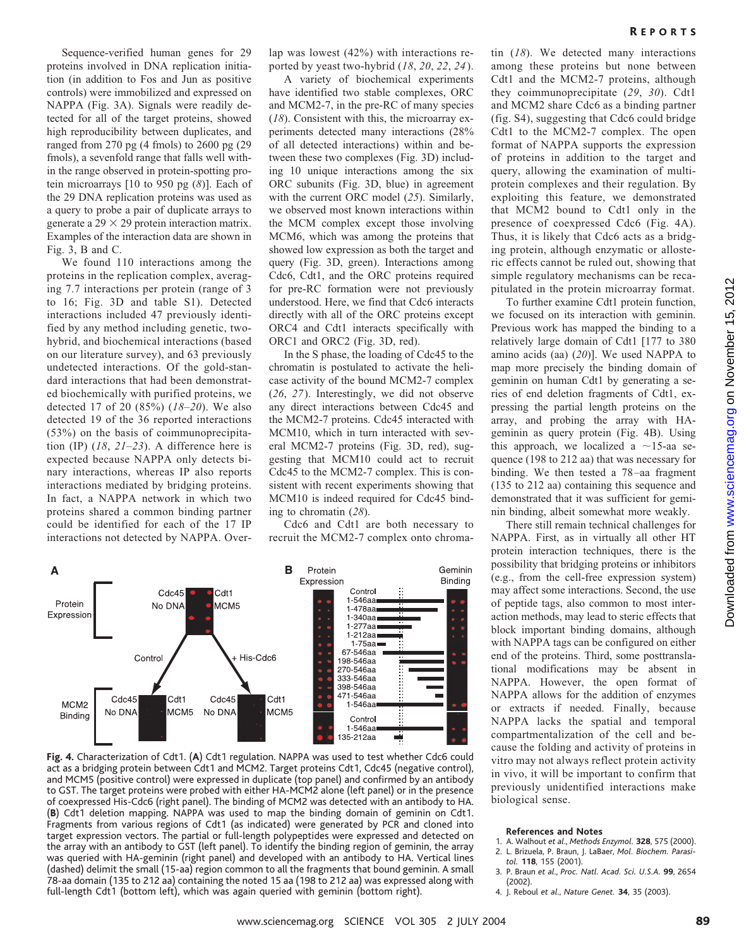Sequence-verified human genes for 29 proteins involved in DNA replication initiation (in addition to Fos and Jun as positive controls) were immobilized and expressed on NAPPA (Fig. 3A). Signals were readily detected for all of the target proteins, showed high reproducibility between duplicates, and ranged from 270 pg (4 fmols) to 2600 pg (29 fmols), a sevenfold range that falls well within the range observed in protein-spotting protein microarrays [10 to 950 pg (*8*)]. Each of the 29 DNA replication proteins was used as a query to probe a pair of duplicate arrays to generate a  $29 \times 29$  protein interaction matrix. Examples of the interaction data are shown in Fig. 3, B and C.

We found 110 interactions among the proteins in the replication complex, averaging 7.7 interactions per protein (range of 3 to 16; Fig. 3D and table S1). Detected interactions included 47 previously identified by any method including genetic, twohybrid, and biochemical interactions (based on our literature survey), and 63 previously undetected interactions. Of the gold-standard interactions that had been demonstrated biochemically with purified proteins, we detected 17 of 20 (85%) (*18*–*20*). We also detected 19 of the 36 reported interactions (53%) on the basis of coimmunoprecipitation (IP) (*18*, *21*–*23*). A difference here is expected because NAPPA only detects binary interactions, whereas IP also reports interactions mediated by bridging proteins. In fact, a NAPPA network in which two proteins shared a common binding partner could be identified for each of the 17 IP interactions not detected by NAPPA. Overlap was lowest (42%) with interactions reported by yeast two-hybrid (*18*, *20*, *22*, *24*).

A variety of biochemical experiments have identified two stable complexes, ORC and MCM2-7, in the pre-RC of many species (*18*). Consistent with this, the microarray experiments detected many interactions (28% of all detected interactions) within and between these two complexes (Fig. 3D) including 10 unique interactions among the six ORC subunits (Fig. 3D, blue) in agreement with the current ORC model (*25*). Similarly, we observed most known interactions within the MCM complex except those involving MCM6, which was among the proteins that showed low expression as both the target and query (Fig. 3D, green). Interactions among Cdc6, Cdt1, and the ORC proteins required for pre-RC formation were not previously understood. Here, we find that Cdc6 interacts directly with all of the ORC proteins except ORC4 and Cdt1 interacts specifically with ORC1 and ORC2 (Fig. 3D, red).

In the S phase, the loading of Cdc45 to the chromatin is postulated to activate the helicase activity of the bound MCM2-7 complex (*26*, *27*). Interestingly, we did not observe any direct interactions between Cdc45 and the MCM2-7 proteins. Cdc45 interacted with MCM10, which in turn interacted with several MCM2-7 proteins (Fig. 3D, red), suggesting that MCM10 could act to recruit Cdc45 to the MCM2-7 complex. This is consistent with recent experiments showing that MCM10 is indeed required for Cdc45 binding to chromatin (*28*).

Cdc6 and Cdt1 are both necessary to recruit the MCM2-7 complex onto chroma-



**Fig.4.** Characterization of Cdt1. (**A**) Cdt1 regulation. NAPPA was used to test whether Cdc6 could act as a bridging protein between Cdt1 and MCM2. Target proteins Cdt1, Cdc45 (negative control), and MCM5 (positive control) were expressed in duplicate (top panel) and confirmed by an antibody to GST. The target proteins were probed with either HA-MCM2 alone (left panel) or in the presence of coexpressed His-Cdc6 (right panel). The binding of MCM2 was detected with an antibody to HA. (**B**) Cdt1 deletion mapping. NAPPA was used to map the binding domain of geminin on Cdt1. Fragments from various regions of Cdt1 (as indicated) were generated by PCR and cloned into target expression vectors. The partial or full-length polypeptides were expressed and detected on the array with an antibody to GST (left panel). To identify the binding region of geminin, the array was queried with HA-geminin (right panel) and developed with an antibody to HA. Vertical lines (dashed) delimit the small (15-aa) region common to all the fragments that bound geminin. A small 78-aa domain (135 to 212 aa) containing the noted 15 aa (198 to 212 aa) was expressed along with full-length Cdt1 (bottom left), which was again queried with geminin (bottom right).

tin (*18*). We detected many interactions among these proteins but none between Cdt1 and the MCM2-7 proteins, although they coimmunoprecipitate (*29*, *30*). Cdt1 and MCM2 share Cdc6 as a binding partner (fig. S4), suggesting that Cdc6 could bridge Cdt1 to the MCM2-7 complex. The open format of NAPPA supports the expression of proteins in addition to the target and query, allowing the examination of multiprotein complexes and their regulation. By exploiting this feature, we demonstrated that MCM2 bound to Cdt1 only in the presence of coexpressed Cdc6 (Fig. 4A). Thus, it is likely that Cdc6 acts as a bridging protein, although enzymatic or allosteric effects cannot be ruled out, showing that R EPORTS

pitulated in the protein microarray format. To further examine Cdt1 protein function, we focused on its interaction with geminin. Previous work has mapped the binding to a relatively large domain of Cdt1 [177 to 380 amino acids (aa) (*20*)]. We used NAPPA to map more precisely the binding domain of geminin on human Cdt1 by generating a series of end deletion fragments of Cdt1, expressing the partial length proteins on the array, and probing the array with HAgeminin as query protein (Fig. 4B). Using this approach, we localized a  $\sim$ 15-aa sequence (198 to 212 aa) that was necessary for binding. We then tested a 78–aa fragment (135 to 212 aa) containing this sequence and demonstrated that it was sufficient for geminin binding, albeit somewhat more weakly.

simple regulatory mechanisms can be reca-

There still remain technical challenges for NAPPA. First, as in virtually all other HT protein interaction techniques, there is the possibility that bridging proteins or inhibitors (e.g., from the cell-free expression system) may affect some interactions. Second, the use of peptide tags, also common to most interaction methods, may lead to steric effects that block important binding domains, although with NAPPA tags can be configured on either end of the proteins. Third, some posttranslational modifications may be absent in NAPPA. However, the open format of NAPPA allows for the addition of enzymes or extracts if needed. Finally, because NAPPA lacks the spatial and temporal compartmentalization of the cell and because the folding and activity of proteins in vitro may not always reflect protein activity in vivo, it will be important to confirm that previously unidentified interactions make biological sense.

#### **References and Notes**

- 1. A. Walhout *et al*., *Methods Enzymol.* **328**, 575 (2000). 2. L. Brizuela, P. Braun, J. LaBaer, *Mol. Biochem. Parasitol.* **118**, 155 (2001).
- 3. P. Braun *et al*., *Proc. Natl. Acad. Sci. U.S.A.* **99**, 2654  $(2002)$
- 4. J. Reboul *et al*., *Nature Genet.* **34**, 35 (2003).

on November 15, 2012

[www.sciencemag.org](http://www.sciencemag.org/)

Downloaded from www.sciencemag.org on November 15, 2012

Downloaded from